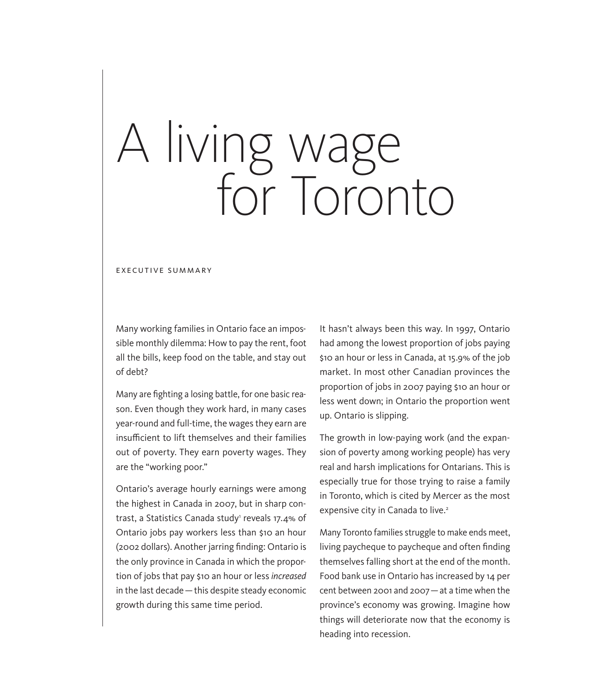## A living wage for Toronto

EXECUTIVE SUMMARY

Many working families in Ontario face an impossible monthly dilemma: How to pay the rent, foot all the bills, keep food on the table, and stay out of debt?

Many are fighting a losing battle, for one basic reason. Even though they work hard, in many cases year-round and full-time, the wages they earn are insufficient to lift themselves and their families out of poverty. They earn poverty wages. They are the "working poor."

Ontario's average hourly earnings were among the highest in Canada in 2007, but in sharp contrast, a Statistics Canada study' reveals 17.4% of Ontario jobs pay workers less than \$10 an hour (2002 dollars). Another jarring finding: Ontario is the only province in Canada in which the proportion of jobs that pay \$10 an hour or less *increased* in the last decade—this despite steady economic growth during this same time period.

It hasn't always been this way. In 1997, Ontario had among the lowest proportion of jobs paying \$10 an hour or less in Canada, at 15.9% of the job market. In most other Canadian provinces the proportion of jobs in 2007 paying \$10 an hour or less went down; in Ontario the proportion went up. Ontario is slipping.

The growth in low-paying work (and the expansion of poverty among working people) has very real and harsh implications for Ontarians. This is especially true for those trying to raise a family in Toronto, which is cited by Mercer as the most expensive city in Canada to live.<sup>2</sup>

Many Toronto families struggle to make ends meet, living paycheque to paycheque and often finding themselves falling short at the end of the month. Food bank use in Ontario has increased by 14 per cent between 2001 and 2007—at a time when the province's economy was growing. Imagine how things will deteriorate now that the economy is heading into recession.